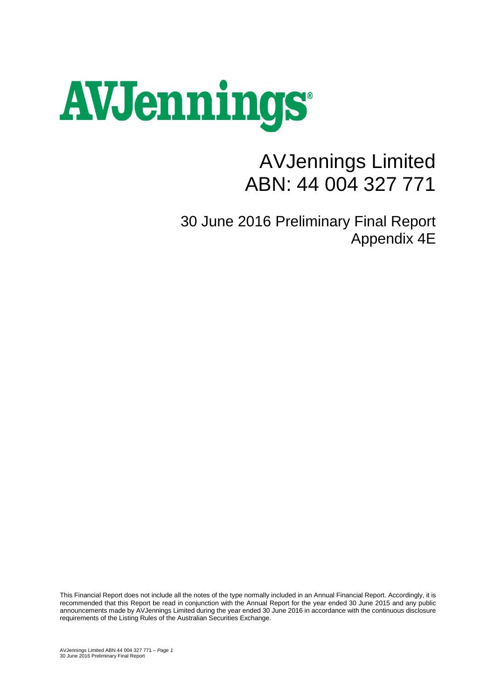# AVJennings

# AVJennings Limited ABN: 44 004 327 771

30 June 2016 Preliminary Final Report Appendix 4E

This Financial Report does not include all the notes of the type normally included in an Annual Financial Report. Accordingly, it is recommended that this Report be read in conjunction with the Annual Report for the year ended 30 June 2015 and any public announcements made by AVJennings Limited during the year ended 30 June 2016 in accordance with the continuous disclosure requirements of the Listing Rules of the Australian Securities Exchange.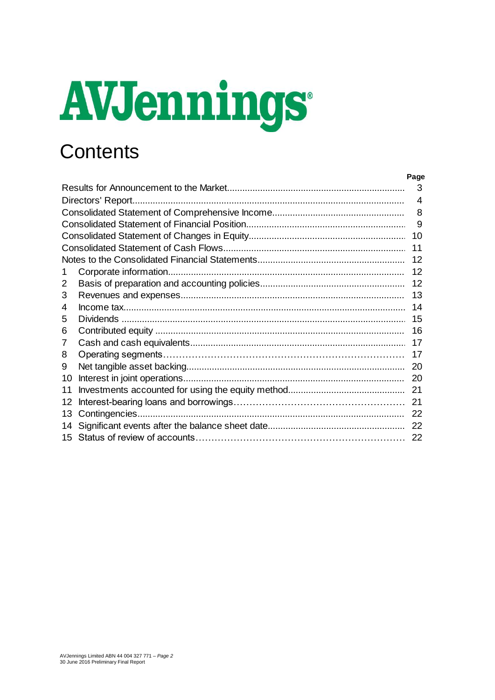# AVJennings

# **Contents**

|    | 3                        |
|----|--------------------------|
|    | $\overline{\mathcal{A}}$ |
|    | 8                        |
|    | 9                        |
|    | 10                       |
|    | 11                       |
|    | 12                       |
| 1  | 12                       |
| 2  | 12                       |
| 3  | 13                       |
| 4  | 14                       |
| 5  | 15                       |
| 6  | 16                       |
| 7  | 17                       |
| 8  | 17                       |
| 9  | 20                       |
| 10 | 20                       |
| 11 | 21                       |
| 12 | 21                       |
| 13 | 22                       |
| 14 | 22                       |
| 15 | 22                       |

Page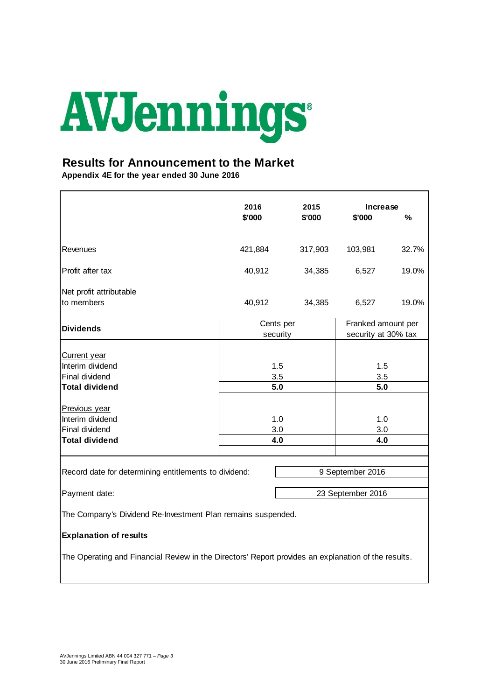

# **Results for Announcement to the Market**

**Appendix 4E for the year ended 30 June 2016**

|                                                                                                                                                                                  | 2016<br>\$'000                         | 2015<br>\$'000 | Increase<br>\$'000                        | %     |  |
|----------------------------------------------------------------------------------------------------------------------------------------------------------------------------------|----------------------------------------|----------------|-------------------------------------------|-------|--|
| Revenues                                                                                                                                                                         | 421,884                                | 317,903        | 103,981                                   | 32.7% |  |
| Profit after tax                                                                                                                                                                 | 40,912                                 | 34,385         | 6,527                                     | 19.0% |  |
| Net profit attributable<br>to members                                                                                                                                            | 40,912                                 | 34,385         | 6,527                                     | 19.0% |  |
| <b>Dividends</b>                                                                                                                                                                 | Cents per<br>security                  |                | Franked amount per<br>security at 30% tax |       |  |
| <b>Current</b> year<br>Interim dividend<br><b>Final dividend</b><br><b>Total dividend</b><br>Previous year<br>Interim dividend<br><b>Final dividend</b><br><b>Total dividend</b> | 1.5<br>3.5<br>5.0<br>1.0<br>3.0<br>4.0 |                | 1.5<br>3.5<br>5.0<br>1.0<br>3.0<br>4.0    |       |  |
| Record date for determining entitlements to dividend:<br>9 September 2016                                                                                                        |                                        |                |                                           |       |  |
| Payment date:<br>23 September 2016<br>The Company's Dividend Re-Investment Plan remains suspended.                                                                               |                                        |                |                                           |       |  |
| <b>Explanation of results</b><br>The Operating and Financial Review in the Directors' Report provides an explanation of the results.                                             |                                        |                |                                           |       |  |
|                                                                                                                                                                                  |                                        |                |                                           |       |  |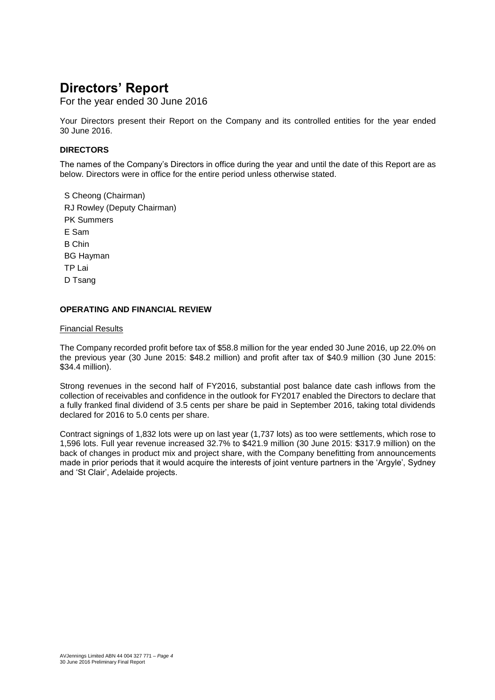For the year ended 30 June 2016

Your Directors present their Report on the Company and its controlled entities for the year ended 30 June 2016.

## **DIRECTORS**

The names of the Company's Directors in office during the year and until the date of this Report are as below. Directors were in office for the entire period unless otherwise stated.

S Cheong (Chairman) RJ Rowley (Deputy Chairman) PK Summers E Sam B Chin BG Hayman TP Lai D Tsang

### **OPERATING AND FINANCIAL REVIEW**

### Financial Results

The Company recorded profit before tax of \$58.8 million for the year ended 30 June 2016, up 22.0% on the previous year (30 June 2015: \$48.2 million) and profit after tax of \$40.9 million (30 June 2015: \$34.4 million).

Strong revenues in the second half of FY2016, substantial post balance date cash inflows from the collection of receivables and confidence in the outlook for FY2017 enabled the Directors to declare that a fully franked final dividend of 3.5 cents per share be paid in September 2016, taking total dividends declared for 2016 to 5.0 cents per share.

Contract signings of 1,832 lots were up on last year (1,737 lots) as too were settlements, which rose to 1,596 lots. Full year revenue increased 32.7% to \$421.9 million (30 June 2015: \$317.9 million) on the back of changes in product mix and project share, with the Company benefitting from announcements made in prior periods that it would acquire the interests of joint venture partners in the 'Argyle', Sydney and 'St Clair', Adelaide projects.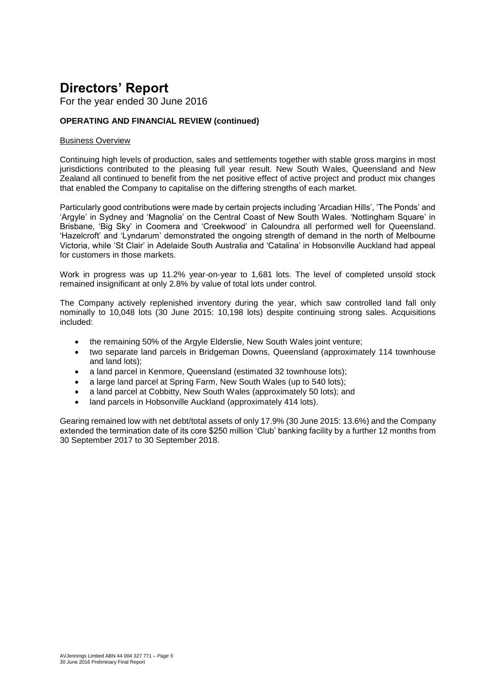For the year ended 30 June 2016

## **OPERATING AND FINANCIAL REVIEW (continued)**

### Business Overview

Continuing high levels of production, sales and settlements together with stable gross margins in most jurisdictions contributed to the pleasing full year result. New South Wales, Queensland and New Zealand all continued to benefit from the net positive effect of active project and product mix changes that enabled the Company to capitalise on the differing strengths of each market.

Particularly good contributions were made by certain projects including 'Arcadian Hills', 'The Ponds' and 'Argyle' in Sydney and 'Magnolia' on the Central Coast of New South Wales. 'Nottingham Square' in Brisbane, 'Big Sky' in Coomera and 'Creekwood' in Caloundra all performed well for Queensland. 'Hazelcroft' and 'Lyndarum' demonstrated the ongoing strength of demand in the north of Melbourne Victoria, while 'St Clair' in Adelaide South Australia and 'Catalina' in Hobsonville Auckland had appeal for customers in those markets.

Work in progress was up 11.2% year-on-year to 1,681 lots. The level of completed unsold stock remained insignificant at only 2.8% by value of total lots under control.

The Company actively replenished inventory during the year, which saw controlled land fall only nominally to 10,048 lots (30 June 2015: 10,198 lots) despite continuing strong sales. Acquisitions included:

- the remaining 50% of the Argyle Elderslie, New South Wales joint venture;
- two separate land parcels in Bridgeman Downs, Queensland (approximately 114 townhouse and land lots);
- a land parcel in Kenmore, Queensland (estimated 32 townhouse lots);
- a large land parcel at Spring Farm, New South Wales (up to 540 lots);
- a land parcel at Cobbitty, New South Wales (approximately 50 lots); and
- land parcels in Hobsonville Auckland (approximately 414 lots).

Gearing remained low with net debt/total assets of only 17.9% (30 June 2015: 13.6%) and the Company extended the termination date of its core \$250 million 'Club' banking facility by a further 12 months from 30 September 2017 to 30 September 2018.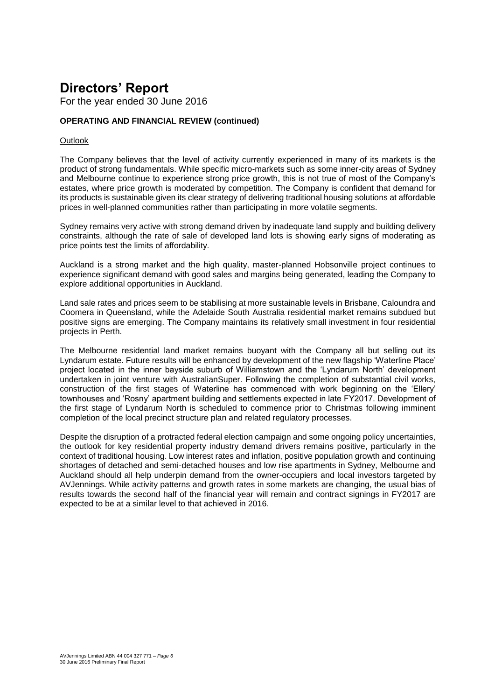For the year ended 30 June 2016

## **OPERATING AND FINANCIAL REVIEW (continued)**

### **Outlook**

The Company believes that the level of activity currently experienced in many of its markets is the product of strong fundamentals. While specific micro-markets such as some inner-city areas of Sydney and Melbourne continue to experience strong price growth, this is not true of most of the Company's estates, where price growth is moderated by competition. The Company is confident that demand for its products is sustainable given its clear strategy of delivering traditional housing solutions at affordable prices in well-planned communities rather than participating in more volatile segments.

Sydney remains very active with strong demand driven by inadequate land supply and building delivery constraints, although the rate of sale of developed land lots is showing early signs of moderating as price points test the limits of affordability.

Auckland is a strong market and the high quality, master-planned Hobsonville project continues to experience significant demand with good sales and margins being generated, leading the Company to explore additional opportunities in Auckland.

Land sale rates and prices seem to be stabilising at more sustainable levels in Brisbane, Caloundra and Coomera in Queensland, while the Adelaide South Australia residential market remains subdued but positive signs are emerging. The Company maintains its relatively small investment in four residential projects in Perth.

The Melbourne residential land market remains buoyant with the Company all but selling out its Lyndarum estate. Future results will be enhanced by development of the new flagship 'Waterline Place' project located in the inner bayside suburb of Williamstown and the 'Lyndarum North' development undertaken in joint venture with AustralianSuper. Following the completion of substantial civil works, construction of the first stages of Waterline has commenced with work beginning on the 'Ellery' townhouses and 'Rosny' apartment building and settlements expected in late FY2017. Development of the first stage of Lyndarum North is scheduled to commence prior to Christmas following imminent completion of the local precinct structure plan and related regulatory processes.

Despite the disruption of a protracted federal election campaign and some ongoing policy uncertainties, the outlook for key residential property industry demand drivers remains positive, particularly in the context of traditional housing. Low interest rates and inflation, positive population growth and continuing shortages of detached and semi-detached houses and low rise apartments in Sydney, Melbourne and Auckland should all help underpin demand from the owner-occupiers and local investors targeted by AVJennings. While activity patterns and growth rates in some markets are changing, the usual bias of results towards the second half of the financial year will remain and contract signings in FY2017 are expected to be at a similar level to that achieved in 2016.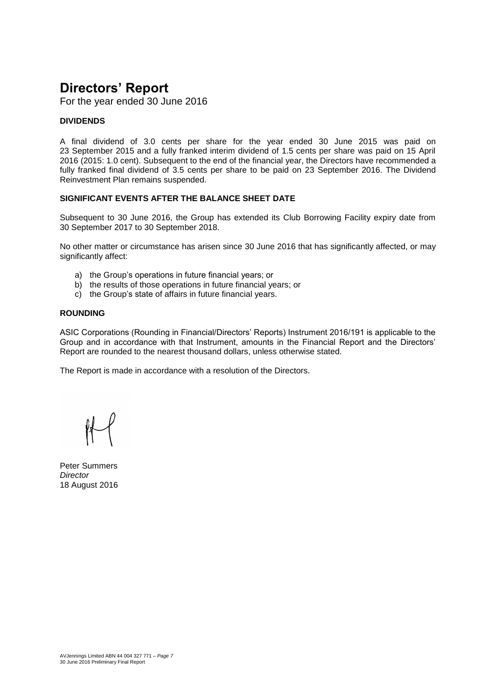For the year ended 30 June 2016

### **DIVIDENDS**

A final dividend of 3.0 cents per share for the year ended 30 June 2015 was paid on 23 September 2015 and a fully franked interim dividend of 1.5 cents per share was paid on 15 April 2016 (2015: 1.0 cent). Subsequent to the end of the financial year, the Directors have recommended a fully franked final dividend of 3.5 cents per share to be paid on 23 September 2016. The Dividend Reinvestment Plan remains suspended.

### **SIGNIFICANT EVENTS AFTER THE BALANCE SHEET DATE**

Subsequent to 30 June 2016, the Group has extended its Club Borrowing Facility expiry date from 30 September 2017 to 30 September 2018.

No other matter or circumstance has arisen since 30 June 2016 that has significantly affected, or may significantly affect:

- a) the Group's operations in future financial years; or
- b) the results of those operations in future financial years; or
- c) the Group's state of affairs in future financial years.

### **ROUNDING**

ASIC Corporations (Rounding in Financial/Directors' Reports) Instrument 2016/191 is applicable to the Group and in accordance with that Instrument, amounts in the Financial Report and the Directors' Report are rounded to the nearest thousand dollars, unless otherwise stated.

The Report is made in accordance with a resolution of the Directors.

Peter Summers *Director* 18 August 2016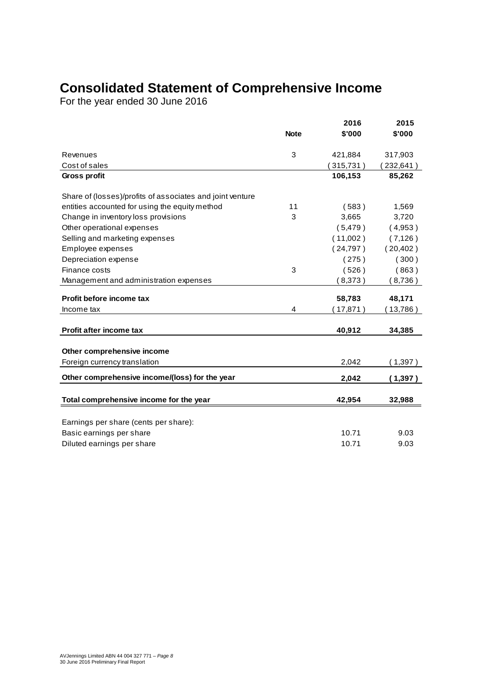# **Consolidated Statement of Comprehensive Income**

For the year ended 30 June 2016

|                                                           |             | 2016     | 2015      |
|-----------------------------------------------------------|-------------|----------|-----------|
|                                                           | <b>Note</b> | \$'000   | \$'000    |
| Revenues                                                  | 3           | 421,884  | 317,903   |
| Cost of sales                                             |             | 315,731) | (232,641) |
| Gross profit                                              |             | 106,153  | 85,262    |
| Share of (losses)/profits of associates and joint venture |             |          |           |
| entities accounted for using the equity method            | 11          | (583)    | 1,569     |
| Change in inventory loss provisions                       | 3           | 3,665    | 3,720     |
| Other operational expenses                                |             | (5, 479) | (4,953)   |
| Selling and marketing expenses                            |             | (11,002) | (7,126)   |
| Employee expenses                                         |             | (24,797) | (20, 402) |
| Depreciation expense                                      |             | (275)    | (300)     |
| Finance costs                                             | 3           | (526)    | (863)     |
| Management and administration expenses                    |             | (8,373)  | (8,736)   |
| Profit before income tax                                  |             | 58,783   | 48,171    |
| Income tax                                                | 4           | 17,871   | (13,786)  |
|                                                           |             |          |           |
| Profit after income tax                                   |             | 40,912   | 34,385    |
| Other comprehensive income                                |             |          |           |
| Foreign currency translation                              |             | 2,042    | (1,397)   |
| Other comprehensive income/(loss) for the year            |             | 2,042    | ( 1,397 ) |
| Total comprehensive income for the year                   |             | 42,954   | 32,988    |
|                                                           |             |          |           |
| Earnings per share (cents per share):                     |             |          |           |
| Basic earnings per share                                  |             | 10.71    | 9.03      |
| Diluted earnings per share                                |             | 10.71    | 9.03      |
|                                                           |             |          |           |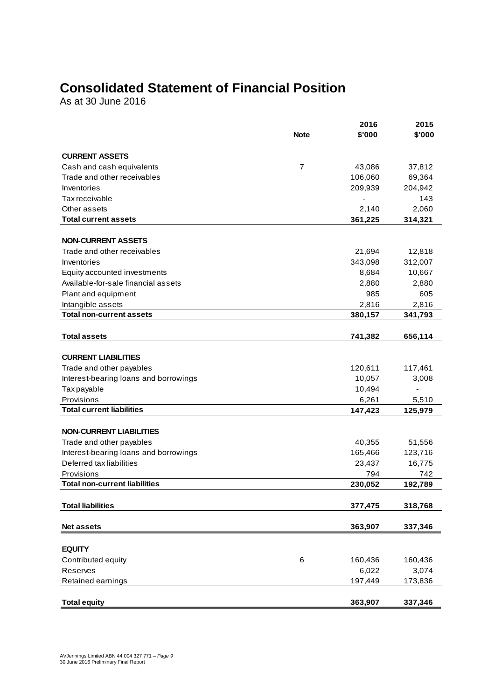# **Consolidated Statement of Financial Position**

As at 30 June 2016

|                                       |                | 2016    | 2015    |
|---------------------------------------|----------------|---------|---------|
|                                       | <b>Note</b>    | \$'000  | \$'000  |
| <b>CURRENT ASSETS</b>                 |                |         |         |
| Cash and cash equivalents             | $\overline{7}$ | 43,086  | 37,812  |
| Trade and other receivables           |                | 106,060 | 69,364  |
| Inventories                           |                | 209,939 | 204,942 |
| Tax receivable                        |                |         | 143     |
| Other assets                          |                | 2,140   | 2,060   |
| <b>Total current assets</b>           |                | 361,225 | 314,321 |
|                                       |                |         |         |
| <b>NON-CURRENT ASSETS</b>             |                |         |         |
| Trade and other receivables           |                | 21,694  | 12,818  |
| Inventories                           |                | 343,098 | 312,007 |
| Equity accounted investments          |                | 8,684   | 10,667  |
| Available-for-sale financial assets   |                | 2,880   | 2,880   |
| Plant and equipment                   |                | 985     | 605     |
| Intangible assets                     |                | 2,816   | 2,816   |
| <b>Total non-current assets</b>       |                | 380,157 | 341,793 |
|                                       |                |         |         |
| <b>Total assets</b>                   |                | 741,382 | 656,114 |
|                                       |                |         |         |
| <b>CURRENT LIABILITIES</b>            |                |         |         |
| Trade and other payables              |                | 120,611 | 117,461 |
| Interest-bearing loans and borrowings |                | 10,057  | 3,008   |
| Tax payable                           |                | 10,494  |         |
| Provisions                            |                | 6,261   | 5,510   |
| <b>Total current liabilities</b>      |                | 147,423 | 125,979 |
|                                       |                |         |         |
| <b>NON-CURRENT LIABILITIES</b>        |                |         |         |
| Trade and other payables              |                | 40,355  | 51,556  |
| Interest-bearing loans and borrowings |                | 165,466 | 123,716 |
| Deferred tax liabilities              |                | 23,437  | 16,775  |
| Provisions                            |                | 794     | 742     |
| <b>Total non-current liabilities</b>  |                | 230,052 | 192,789 |
|                                       |                |         |         |
| <b>Total liabilities</b>              |                | 377,475 | 318,768 |
|                                       |                |         |         |
| <b>Net assets</b>                     |                | 363,907 | 337,346 |
|                                       |                |         |         |
| <b>EQUITY</b>                         |                |         |         |
| Contributed equity                    | 6              | 160,436 | 160,436 |
| Reserves                              |                | 6,022   | 3,074   |
| Retained earnings                     |                | 197,449 | 173,836 |
|                                       |                |         |         |
| <b>Total equity</b>                   |                | 363,907 | 337,346 |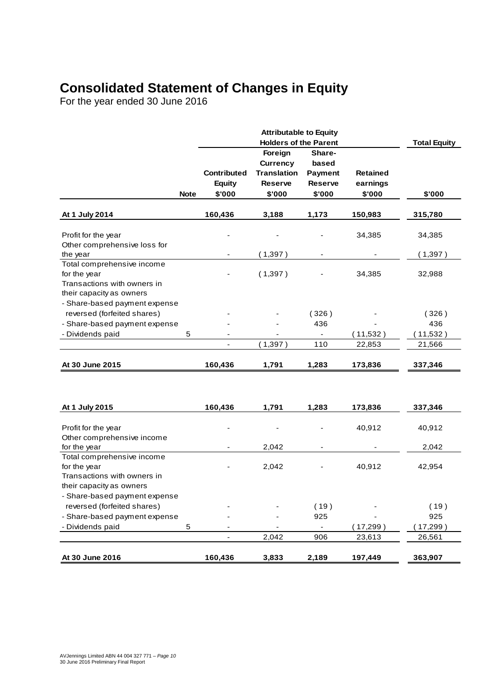# **Consolidated Statement of Changes in Equity**

For the year ended 30 June 2016

|                                             |             |                    | <b>Attributable to Equity</b> |                |                 |                     |
|---------------------------------------------|-------------|--------------------|-------------------------------|----------------|-----------------|---------------------|
|                                             |             |                    | <b>Holders of the Parent</b>  |                |                 | <b>Total Equity</b> |
|                                             |             |                    | Foreign                       | Share-         |                 |                     |
|                                             |             |                    | <b>Currency</b>               | based          |                 |                     |
|                                             |             | <b>Contributed</b> | <b>Translation</b>            | Payment        | <b>Retained</b> |                     |
|                                             |             | <b>Equity</b>      | <b>Reserve</b>                | <b>Reserve</b> | earnings        |                     |
|                                             | <b>Note</b> | \$'000             | \$'000                        | \$'000         | \$'000          | \$'000              |
| At 1 July 2014                              |             | 160,436            | 3,188                         | 1,173          | 150,983         | 315,780             |
| Profit for the year                         |             |                    |                               |                | 34,385          | 34,385              |
| Other comprehensive loss for                |             |                    |                               |                |                 |                     |
| the year                                    |             |                    | (1,397)                       |                |                 |                     |
| Total comprehensive income                  |             |                    |                               |                |                 | (1, 397)            |
|                                             |             |                    |                               |                |                 |                     |
| for the year<br>Transactions with owners in |             |                    | (1,397)                       |                | 34,385          | 32,988              |
|                                             |             |                    |                               |                |                 |                     |
| their capacity as owners                    |             |                    |                               |                |                 |                     |
| - Share-based payment expense               |             |                    |                               |                |                 |                     |
| reversed (forfeited shares)                 |             |                    |                               | (326)          |                 | (326)               |
| - Share-based payment expense               |             |                    |                               | 436            |                 | 436                 |
| - Dividends paid                            | 5           |                    |                               | $\blacksquare$ | (11,532)        | (11,532)            |
|                                             |             | $\overline{a}$     | (1, 397)                      | 110            | 22,853          | 21,566              |
| At 30 June 2015                             |             | 160,436            | 1,791                         | 1,283          | 173,836         | 337,346             |
|                                             |             |                    |                               |                |                 |                     |
| At 1 July 2015                              |             | 160,436            | 1,791                         | 1,283          | 173,836         | 337,346             |
|                                             |             |                    |                               |                |                 |                     |
| Profit for the year                         |             |                    |                               |                | 40,912          | 40,912              |
| Other comprehensive income                  |             |                    |                               |                |                 |                     |
| for the year<br>Total comprehensive income  |             |                    | 2,042                         |                |                 | 2,042               |
|                                             |             |                    |                               |                |                 |                     |
| for the year<br>Transactions with owners in |             |                    | 2,042                         |                | 40,912          | 42,954              |
| their capacity as owners                    |             |                    |                               |                |                 |                     |
|                                             |             |                    |                               |                |                 |                     |
| - Share-based payment expense               |             |                    |                               |                |                 |                     |
| reversed (forfeited shares)                 |             |                    |                               | (19)           |                 | (19)                |
| - Share-based payment expense               |             |                    |                               | 925            |                 | 925                 |
| - Dividends paid                            | 5           |                    |                               | $\blacksquare$ | (17, 299)       | (17, 299)           |
|                                             |             |                    | 2,042                         | 906            | 23,613          | 26,561              |

**At 30 June 2016 160,436 3,833 2,189 197,449 363,907**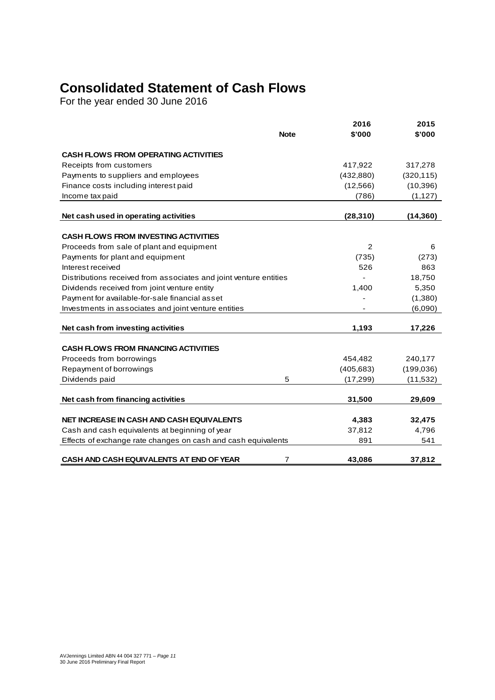# **Consolidated Statement of Cash Flows**

For the year ended 30 June 2016

|                                                                   |                | 2016       | 2015       |
|-------------------------------------------------------------------|----------------|------------|------------|
|                                                                   | <b>Note</b>    | \$'000     | \$'000     |
| <b>CASH FLOWS FROM OPERATING ACTIVITIES</b>                       |                |            |            |
| Receipts from customers                                           |                | 417,922    | 317,278    |
| Payments to suppliers and employees                               |                | (432, 880) | (320, 115) |
| Finance costs including interest paid                             |                | (12, 566)  | (10, 396)  |
| Income tax paid                                                   |                | (786)      | (1, 127)   |
| Net cash used in operating activities                             |                | (28, 310)  | (14, 360)  |
|                                                                   |                |            |            |
| <b>CASH FLOWS FROM INVESTING ACTIVITIES</b>                       |                |            |            |
| Proceeds from sale of plant and equipment                         |                | 2          | 6          |
| Payments for plant and equipment                                  |                | (735)      | (273)      |
| Interest received                                                 |                | 526        | 863        |
| Distributions received from associates and joint venture entities |                |            | 18,750     |
| Dividends received from joint venture entity                      |                | 1,400      | 5,350      |
| Payment for available-for-sale financial asset                    |                |            | (1,380)    |
| Investments in associates and joint venture entities              |                |            | (6,090)    |
|                                                                   |                |            |            |
| Net cash from investing activities                                |                | 1,193      | 17,226     |
| <b>CASH FLOWS FROM FINANCING ACTIVITIES</b>                       |                |            |            |
| Proceeds from borrowings                                          |                | 454,482    | 240,177    |
| Repayment of borrowings                                           |                | (405, 683) | (199, 036) |
| Dividends paid                                                    | 5              | (17, 299)  | (11, 532)  |
|                                                                   |                |            |            |
| Net cash from financing activities                                |                | 31,500     | 29,609     |
| <b>NET INCREASE IN CASH AND CASH EQUIVALENTS</b>                  |                | 4,383      | 32,475     |
| Cash and cash equivalents at beginning of year                    |                | 37,812     | 4,796      |
| Effects of exchange rate changes on cash and cash equivalents     |                | 891        | 541        |
| <b>CASH AND CASH EQUIVALENTS AT END OF YEAR</b>                   | $\overline{7}$ | 43,086     | 37,812     |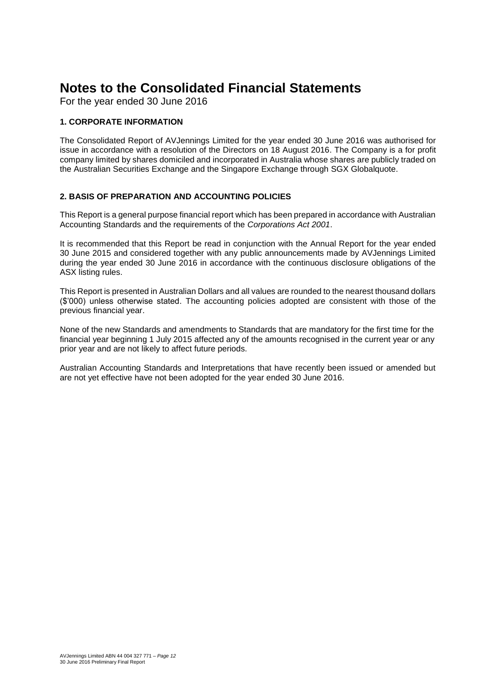For the year ended 30 June 2016

# **1. CORPORATE INFORMATION**

The Consolidated Report of AVJennings Limited for the year ended 30 June 2016 was authorised for issue in accordance with a resolution of the Directors on 18 August 2016. The Company is a for profit company limited by shares domiciled and incorporated in Australia whose shares are publicly traded on the Australian Securities Exchange and the Singapore Exchange through SGX Globalquote.

# **2. BASIS OF PREPARATION AND ACCOUNTING POLICIES**

This Report is a general purpose financial report which has been prepared in accordance with Australian Accounting Standards and the requirements of the *Corporations Act 2001*.

It is recommended that this Report be read in conjunction with the Annual Report for the year ended 30 June 2015 and considered together with any public announcements made by AVJennings Limited during the year ended 30 June 2016 in accordance with the continuous disclosure obligations of the ASX listing rules.

This Report is presented in Australian Dollars and all values are rounded to the nearest thousand dollars (\$'000) unless otherwise stated. The accounting policies adopted are consistent with those of the previous financial year.

None of the new Standards and amendments to Standards that are mandatory for the first time for the financial year beginning 1 July 2015 affected any of the amounts recognised in the current year or any prior year and are not likely to affect future periods.

Australian Accounting Standards and Interpretations that have recently been issued or amended but are not yet effective have not been adopted for the year ended 30 June 2016.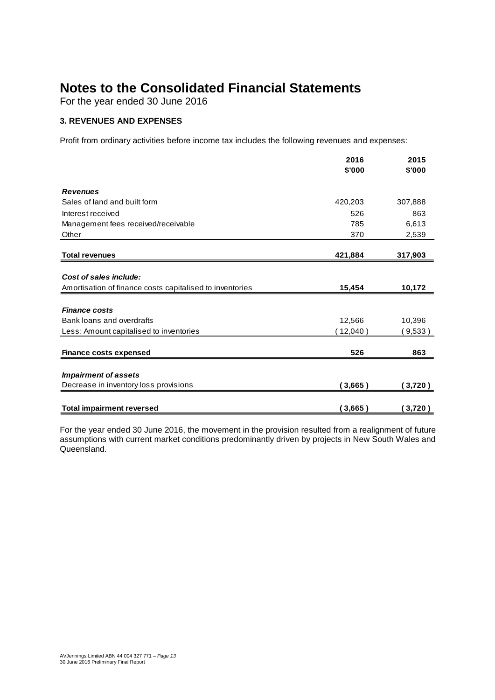For the year ended 30 June 2016

# **3. REVENUES AND EXPENSES**

Profit from ordinary activities before income tax includes the following revenues and expenses:

|                                                          | 2016<br>\$'000 | 2015<br>\$'000 |
|----------------------------------------------------------|----------------|----------------|
| <b>Revenues</b>                                          |                |                |
| Sales of land and built form                             | 420,203        | 307,888        |
| Interest received                                        | 526            | 863            |
| Management fees received/receivable                      | 785            | 6,613          |
| Other                                                    | 370            | 2,539          |
| <b>Total revenues</b>                                    | 421,884        | 317,903        |
|                                                          |                |                |
| Cost of sales include:                                   |                |                |
| Amortisation of finance costs capitalised to inventories | 15,454         | 10,172         |
|                                                          |                |                |
| <b>Finance costs</b>                                     |                |                |
| Bank loans and overdrafts                                | 12,566         | 10,396         |
| Less: Amount capitalised to inventories                  | 12,040)        | (9,533)        |
| <b>Finance costs expensed</b>                            | 526            | 863            |
|                                                          |                |                |
| <b>Impairment of assets</b>                              |                |                |
| Decrease in inventory loss provisions                    | (3,665)        | (3,720)        |
|                                                          |                |                |
| <b>Total impairment reversed</b>                         | 3,665)         | (3,720)        |

For the year ended 30 June 2016, the movement in the provision resulted from a realignment of future assumptions with current market conditions predominantly driven by projects in New South Wales and Queensland.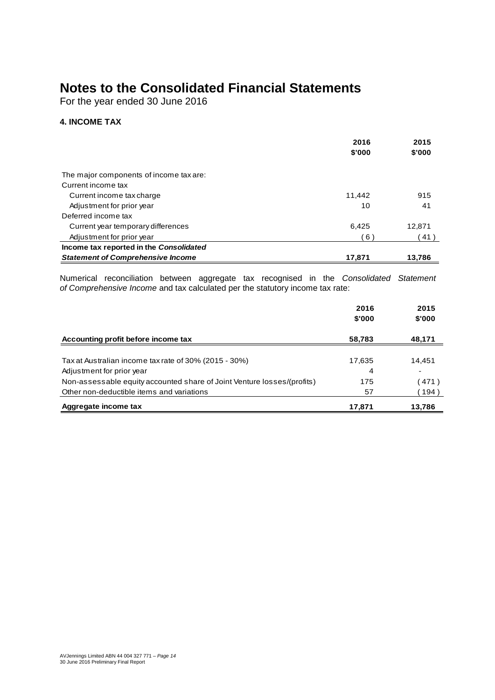For the year ended 30 June 2016

# **4. INCOME TAX**

|                                          | 2016<br>\$'000 | 2015<br>\$'000 |
|------------------------------------------|----------------|----------------|
|                                          |                |                |
| The major components of income tax are:  |                |                |
| Current income tax                       |                |                |
| Current income tax charge                | 11.442         | 915            |
| Adjustment for prior year                | 10             | 41             |
| Deferred income tax                      |                |                |
| Current year temporary differences       | 6,425          | 12.871         |
| Adjustment for prior year                | $6^{\circ}$    | (41)           |
| Income tax reported in the Consolidated  |                |                |
| <b>Statement of Comprehensive Income</b> | 17.871         | 13,786         |

Numerical reconciliation between aggregate tax recognised in the *Consolidated Statement of Comprehensive Income* and tax calculated per the statutory income tax rate:

|                                                                                                      | 2016<br>\$'000 | 2015<br>\$'000 |
|------------------------------------------------------------------------------------------------------|----------------|----------------|
| Accounting profit before income tax                                                                  | 58,783         | 48,171         |
| Tax at Australian income tax rate of 30% (2015 - 30%)                                                | 17,635         | 14,451         |
| Adjustment for prior year<br>Non-assessable equity accounted share of Joint Venture losses/(profits) | 4<br>175       | 471)           |
| Other non-deductible items and variations                                                            | 57             | 194)           |
| Aggregate income tax                                                                                 | 17,871         | 13,786         |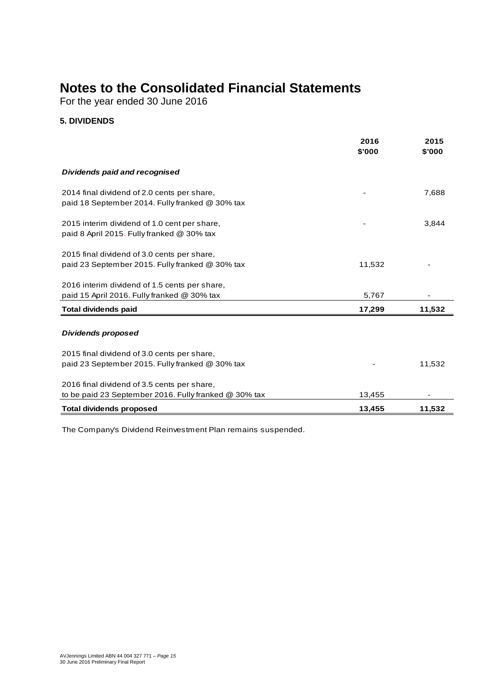For the year ended 30 June 2016

# **5. DIVIDENDS**

|                                                                                                | 2016<br>\$'000 | 2015<br>\$'000 |
|------------------------------------------------------------------------------------------------|----------------|----------------|
|                                                                                                |                |                |
| Dividends paid and recognised                                                                  |                |                |
| 2014 final dividend of 2.0 cents per share,<br>paid 18 September 2014. Fully franked @ 30% tax |                | 7,688          |
| 2015 interim dividend of 1.0 cent per share,<br>paid 8 April 2015. Fully franked @ 30% tax     |                | 3,844          |
| 2015 final dividend of 3.0 cents per share,                                                    |                |                |
| paid 23 September 2015. Fully franked @ 30% tax                                                | 11,532         |                |
| 2016 interim dividend of 1.5 cents per share,                                                  |                |                |
| paid 15 April 2016. Fully franked @ 30% tax                                                    | 5,767          |                |
| <b>Total dividends paid</b>                                                                    | 17,299         | 11,532         |
| <b>Dividends proposed</b>                                                                      |                |                |
| 2015 final dividend of 3.0 cents per share,                                                    |                |                |
| paid 23 September 2015. Fully franked @ 30% tax                                                |                | 11,532         |
| 2016 final dividend of 3.5 cents per share,                                                    |                |                |
| to be paid 23 September 2016. Fully franked @ 30% tax                                          | 13,455         |                |
| <b>Total dividends proposed</b>                                                                | 13,455         | 11,532         |

The Company's Dividend Reinvestment Plan remains suspended.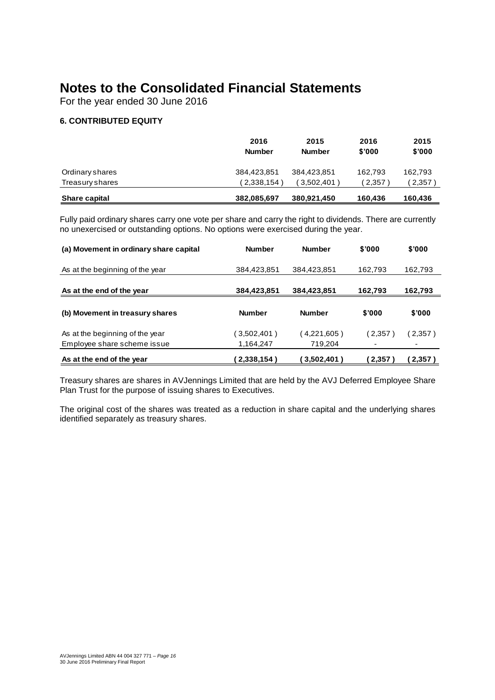For the year ended 30 June 2016

# **6. CONTRIBUTED EQUITY**

|                 | 2016<br><b>Number</b> | 2015<br><b>Number</b> | 2016<br>\$'000 | 2015<br>\$'000 |
|-----------------|-----------------------|-----------------------|----------------|----------------|
| Ordinary shares | 384,423,851           | 384,423,851           | 162.793        | 162,793        |
| Treasury shares | (2,338,154)           | (3,502,401)           | 2,357          | 2,357          |
| Share capital   | 382,085,697           | 380,921,450           | 160.436        | 160,436        |

Fully paid ordinary shares carry one vote per share and carry the right to dividends. There are currently no unexercised or outstanding options. No options were exercised during the year.

| (a) Movement in ordinary share capital | <b>Number</b> | <b>Number</b> | \$'000  | \$'000  |
|----------------------------------------|---------------|---------------|---------|---------|
| As at the beginning of the year        | 384,423,851   | 384,423,851   | 162,793 | 162,793 |
| As at the end of the year              | 384,423,851   | 384,423,851   | 162.793 | 162,793 |
| (b) Movement in treasury shares        | <b>Number</b> | <b>Number</b> | \$'000  | \$'000  |
|                                        |               |               |         |         |
| As at the beginning of the year        | (3,502,401)   | 4,221,605)    | (2,357) | (2,357) |
| Employee share scheme issue            | 1,164,247     | 719,204       |         |         |
| As at the end of the year              | (2,338,154)   | 3,502,401     | 2,357   | (2,357) |

Treasury shares are shares in AVJennings Limited that are held by the AVJ Deferred Employee Share Plan Trust for the purpose of issuing shares to Executives.

The original cost of the shares was treated as a reduction in share capital and the underlying shares identified separately as treasury shares.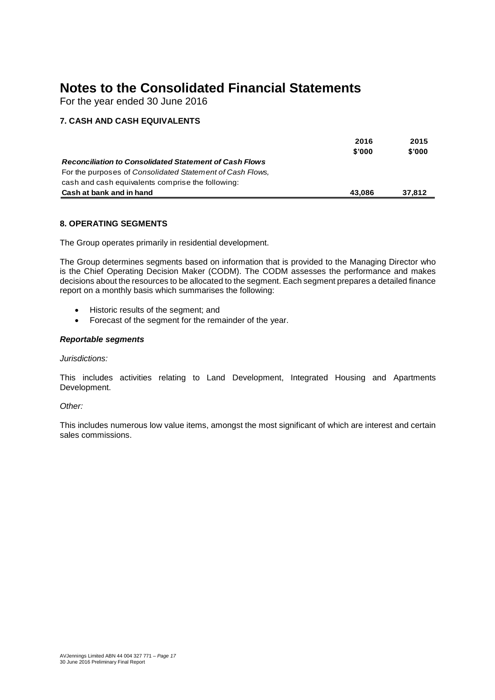For the year ended 30 June 2016

# **7. CASH AND CASH EQUIVALENTS**

|                                                               | 2016   | 2015   |
|---------------------------------------------------------------|--------|--------|
|                                                               | \$'000 | \$'000 |
| <b>Reconciliation to Consolidated Statement of Cash Flows</b> |        |        |
| For the purposes of Consolidated Statement of Cash Flows.     |        |        |
| cash and cash equivalents comprise the following:             |        |        |
| Cash at bank and in hand                                      | 43.086 | 37.812 |

# **8. OPERATING SEGMENTS**

The Group operates primarily in residential development.

The Group determines segments based on information that is provided to the Managing Director who is the Chief Operating Decision Maker (CODM). The CODM assesses the performance and makes decisions about the resources to be allocated to the segment. Each segment prepares a detailed finance report on a monthly basis which summarises the following:

- Historic results of the seament: and
- Forecast of the segment for the remainder of the year.

### *Reportable segments*

### *Jurisdictions:*

This includes activities relating to Land Development, Integrated Housing and Apartments Development.

### *Other:*

This includes numerous low value items, amongst the most significant of which are interest and certain sales commissions.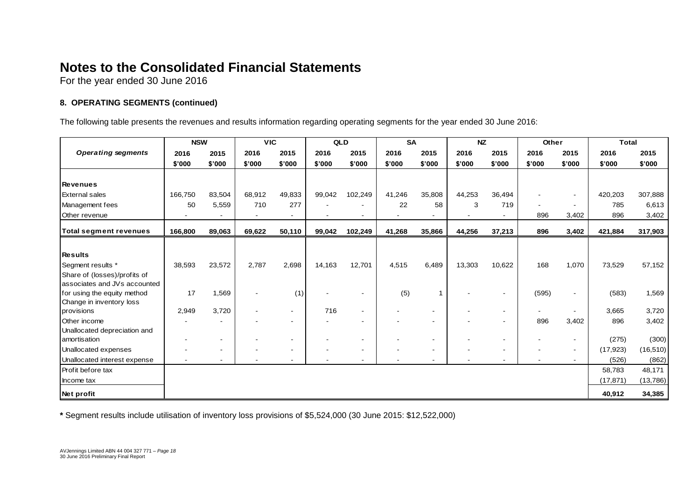For the year ended 30 June 2016

# **8. OPERATING SEGMENTS (continued)**

The following table presents the revenues and results information regarding operating segments for the year ended 30 June 2016:

|                               | <b>NSW</b> |                          | <b>VIC</b> |                          | QLD    |         | <b>SA</b> |                          | NZ     |                          | Other  |                          | <b>Total</b> |           |
|-------------------------------|------------|--------------------------|------------|--------------------------|--------|---------|-----------|--------------------------|--------|--------------------------|--------|--------------------------|--------------|-----------|
| <b>Operating segments</b>     | 2016       | 2015                     | 2016       | 2015                     | 2016   | 2015    | 2016      | 2015                     | 2016   | 2015                     | 2016   | 2015                     | 2016         | 2015      |
|                               | \$'000     | \$'000                   | \$'000     | \$'000                   | \$'000 | \$'000  | \$'000    | \$'000                   | \$'000 | \$'000                   | \$'000 | \$'000                   | \$'000       | \$'000    |
|                               |            |                          |            |                          |        |         |           |                          |        |                          |        |                          |              |           |
| Revenues                      |            |                          |            |                          |        |         |           |                          |        |                          |        |                          |              |           |
| <b>External sales</b>         | 166,750    | 83,504                   | 68,912     | 49,833                   | 99,042 | 102,249 | 41,246    | 35,808                   | 44,253 | 36,494                   |        | $\sim$                   | 420,203      | 307,888   |
| Management fees               | 50         | 5,559                    | 710        | 277                      |        |         | 22        | 58                       | 3      | 719                      |        |                          | 785          | 6,613     |
| Other revenue                 |            |                          |            |                          |        |         |           |                          |        |                          | 896    | 3,402                    | 896          | 3,402     |
| <b>Total segment revenues</b> | 166,800    | 89,063                   | 69,622     | 50,110                   | 99,042 | 102,249 | 41,268    | 35,866                   | 44,256 | 37,213                   | 896    | 3,402                    | 421,884      | 317,903   |
|                               |            |                          |            |                          |        |         |           |                          |        |                          |        |                          |              |           |
| <b>Results</b>                |            |                          |            |                          |        |         |           |                          |        |                          |        |                          |              |           |
| Segment results *             | 38,593     | 23,572                   | 2,787      | 2,698                    | 14,163 | 12,701  | 4,515     | 6,489                    | 13,303 | 10,622                   | 168    | 1,070                    | 73,529       | 57,152    |
| Share of (losses)/profits of  |            |                          |            |                          |        |         |           |                          |        |                          |        |                          |              |           |
| associates and JVs accounted  |            |                          |            |                          |        |         |           |                          |        |                          |        |                          |              |           |
| for using the equity method   | 17         | 1,569                    |            | (1)                      |        |         | (5)       | $\mathbf 1$              |        | $\overline{\phantom{a}}$ | (595)  |                          | (583)        | 1,569     |
| Change in inventory loss      |            |                          |            |                          |        |         |           |                          |        |                          |        |                          |              |           |
| provisions                    | 2,949      | 3,720                    |            | $\overline{\phantom{a}}$ | 716    |         |           | $\blacksquare$           |        |                          |        |                          | 3,665        | 3,720     |
| Other income                  |            | $\overline{\phantom{a}}$ |            | $\overline{\phantom{a}}$ |        |         |           | $\blacksquare$           |        | $\blacksquare$           | 896    | 3,402                    | 896          | 3,402     |
| Unallocated depreciation and  |            |                          |            |                          |        |         |           |                          |        |                          |        |                          |              |           |
| amortisation                  |            | $\overline{\phantom{a}}$ |            |                          |        |         |           | $\overline{\phantom{0}}$ |        |                          |        |                          | (275)        | (300)     |
| Unallocated expenses          |            | $\overline{\phantom{a}}$ |            | $\overline{\phantom{a}}$ |        |         |           | $\blacksquare$           |        |                          |        | $\overline{\phantom{a}}$ | (17, 923)    | (16, 510) |
| Unallocated interest expense  |            |                          |            | $\sim$                   |        |         |           | $\blacksquare$           |        | $\overline{a}$           |        |                          | (526)        | (862)     |
| Profit before tax             |            |                          |            |                          |        |         |           |                          |        |                          |        |                          | 58,783       | 48,171    |
| Income tax                    |            |                          |            |                          |        |         |           |                          |        |                          |        |                          | (17, 871)    | (13,786)  |
| Net profit                    |            |                          |            |                          |        |         |           |                          |        |                          |        |                          | 40,912       | 34,385    |

**\*** Segment results include utilisation of inventory loss provisions of \$5,524,000 (30 June 2015: \$12,522,000)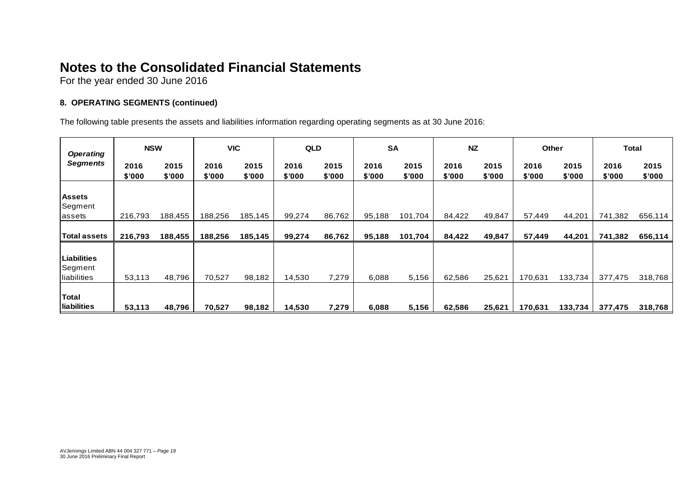For the year ended 30 June 2016

# **8. OPERATING SEGMENTS (continued)**

The following table presents the assets and liabilities information regarding operating segments as at 30 June 2016:

| <b>Operating</b><br><b>Segments</b>   | <b>NSW</b>     |                | <b>VIC</b>     |                | QLD            |                | <b>SA</b>      |                | <b>NZ</b>      |                | <b>Other</b>   |                | <b>Total</b>   |                |
|---------------------------------------|----------------|----------------|----------------|----------------|----------------|----------------|----------------|----------------|----------------|----------------|----------------|----------------|----------------|----------------|
|                                       | 2016<br>\$'000 | 2015<br>\$'000 | 2016<br>\$'000 | 2015<br>\$'000 | 2016<br>\$'000 | 2015<br>\$'000 | 2016<br>\$'000 | 2015<br>\$'000 | 2016<br>\$'000 | 2015<br>\$'000 | 2016<br>\$'000 | 2015<br>\$'000 | 2016<br>\$'000 | 2015<br>\$'000 |
| <b>Assets</b><br>Segment<br>assets    | 216,793        | 188,455        | 188,256        | 185,145        | 99,274         | 86,762         | 95,188         | 101,704        | 84,422         | 49,847         | 57,449         | 44,201         | 741,382        | 656,114        |
| <b>Total assets</b>                   | 216,793        | 188,455        | 188,256        | 185,145        | 99,274         | 86,762         | 95,188         | 101,704        | 84,422         | 49,847         | 57,449         | 44,201         | 741,382        | 656,114        |
| Liabilities<br>Segment<br>liabilities | 53,113         | 48,796         | 70,527         | 98,182         | 14,530         | 7,279          | 6,088          | 5,156          | 62,586         | 25,621         | 170,631        | 133,734        | 377,475        | 318,768        |
| Total<br>liabilities                  | 53,113         | 48,796         | 70,527         | 98,182         | 14,530         | 7,279          | 6,088          | 5,156          | 62,586         | 25,621         | 170,631        | 133,734        | 377,475        | 318,768        |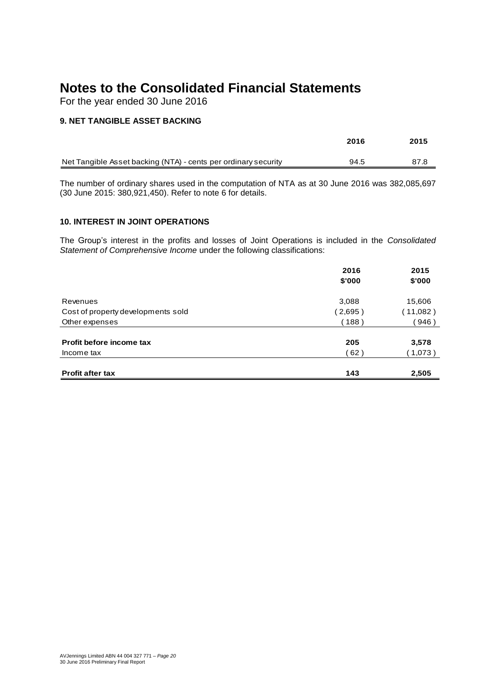For the year ended 30 June 2016

# **9. NET TANGIBLE ASSET BACKING**

|                                                                | 2016 | 2015 |
|----------------------------------------------------------------|------|------|
| Net Tangible Asset backing (NTA) - cents per ordinary security | 94.5 | 87.8 |

The number of ordinary shares used in the computation of NTA as at 30 June 2016 was 382,085,697 (30 June 2015: 380,921,450). Refer to note 6 for details.

### **10. INTEREST IN JOINT OPERATIONS**

The Group's interest in the profits and losses of Joint Operations is included in the *Consolidated Statement of Comprehensive Income* under the following classifications:

|                                    | 2016    | 2015     |
|------------------------------------|---------|----------|
|                                    | \$'000  | \$'000   |
| Revenues                           | 3,088   | 15,606   |
| Cost of property developments sold | (2,695) | (11,082) |
| Other expenses                     | 188)    | 946)     |
| Profit before income tax           | 205     | 3,578    |
| Income tax                         | 62)     | (1,073)  |
|                                    |         |          |
| <b>Profit after tax</b>            | 143     | 2,505    |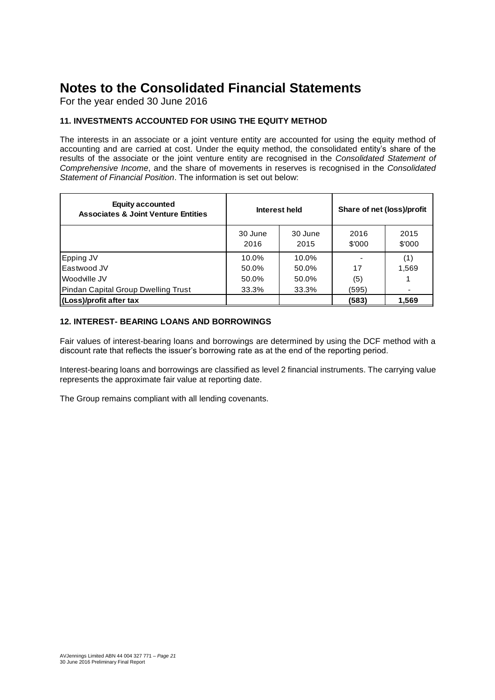For the year ended 30 June 2016

# **11. INVESTMENTS ACCOUNTED FOR USING THE EQUITY METHOD**

The interests in an associate or a joint venture entity are accounted for using the equity method of accounting and are carried at cost. Under the equity method, the consolidated entity's share of the results of the associate or the joint venture entity are recognised in the *Consolidated Statement of Comprehensive Income*, and the share of movements in reserves is recognised in the *Consolidated Statement of Financial Position*. The information is set out below:

| <b>Equity accounted</b><br><b>Associates &amp; Joint Venture Entities</b> |                 | Interest held   | Share of net (loss)/profit |                |  |
|---------------------------------------------------------------------------|-----------------|-----------------|----------------------------|----------------|--|
|                                                                           | 30 June<br>2016 | 30 June<br>2015 | 2016<br>\$'000             | 2015<br>\$'000 |  |
| Epping JV                                                                 | 10.0%           | 10.0%           |                            | (1)            |  |
| Eastwood JV                                                               | 50.0%           | 50.0%           | 17                         | 1,569          |  |
| Woodville JV                                                              | 50.0%           | 50.0%           | (5)                        |                |  |
| Pindan Capital Group Dwelling Trust                                       | 33.3%           | 33.3%           | (595)                      |                |  |
| (Loss)/profit after tax                                                   |                 |                 | (583)                      | 1,569          |  |

# **12. INTEREST- BEARING LOANS AND BORROWINGS**

Fair values of interest-bearing loans and borrowings are determined by using the DCF method with a discount rate that reflects the issuer's borrowing rate as at the end of the reporting period.

Interest-bearing loans and borrowings are classified as level 2 financial instruments. The carrying value represents the approximate fair value at reporting date.

The Group remains compliant with all lending covenants.